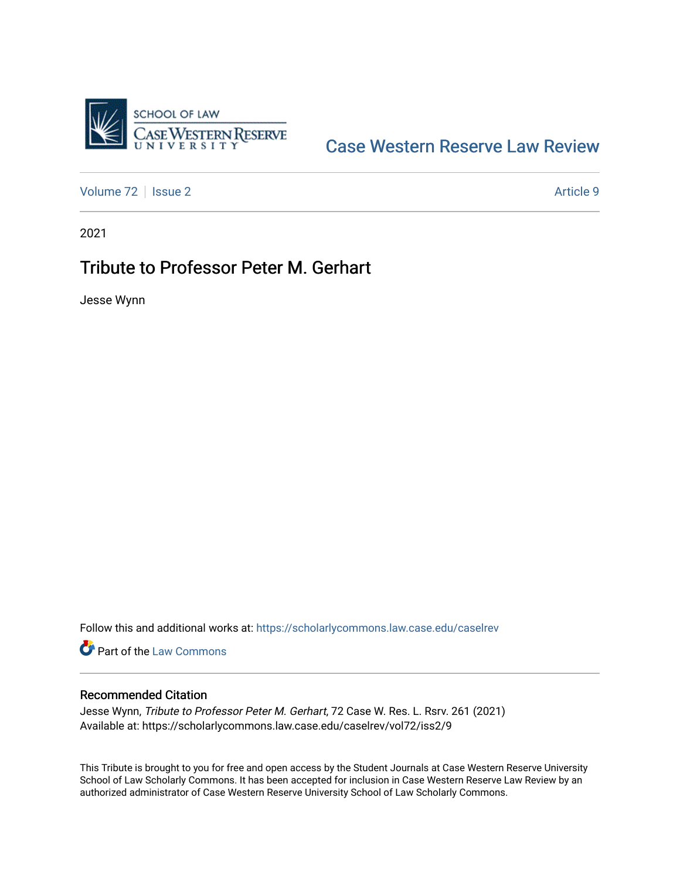

## [Case Western Reserve Law Review](https://scholarlycommons.law.case.edu/caselrev)

[Volume 72](https://scholarlycommons.law.case.edu/caselrev/vol72) | [Issue 2](https://scholarlycommons.law.case.edu/caselrev/vol72/iss2) Article 9

2021

## Tribute to Professor Peter M. Gerhart

Jesse Wynn

Follow this and additional works at: [https://scholarlycommons.law.case.edu/caselrev](https://scholarlycommons.law.case.edu/caselrev?utm_source=scholarlycommons.law.case.edu%2Fcaselrev%2Fvol72%2Fiss2%2F9&utm_medium=PDF&utm_campaign=PDFCoverPages)

Part of the [Law Commons](https://network.bepress.com/hgg/discipline/578?utm_source=scholarlycommons.law.case.edu%2Fcaselrev%2Fvol72%2Fiss2%2F9&utm_medium=PDF&utm_campaign=PDFCoverPages)

## Recommended Citation

Jesse Wynn, Tribute to Professor Peter M. Gerhart, 72 Case W. Res. L. Rsrv. 261 (2021) Available at: https://scholarlycommons.law.case.edu/caselrev/vol72/iss2/9

This Tribute is brought to you for free and open access by the Student Journals at Case Western Reserve University School of Law Scholarly Commons. It has been accepted for inclusion in Case Western Reserve Law Review by an authorized administrator of Case Western Reserve University School of Law Scholarly Commons.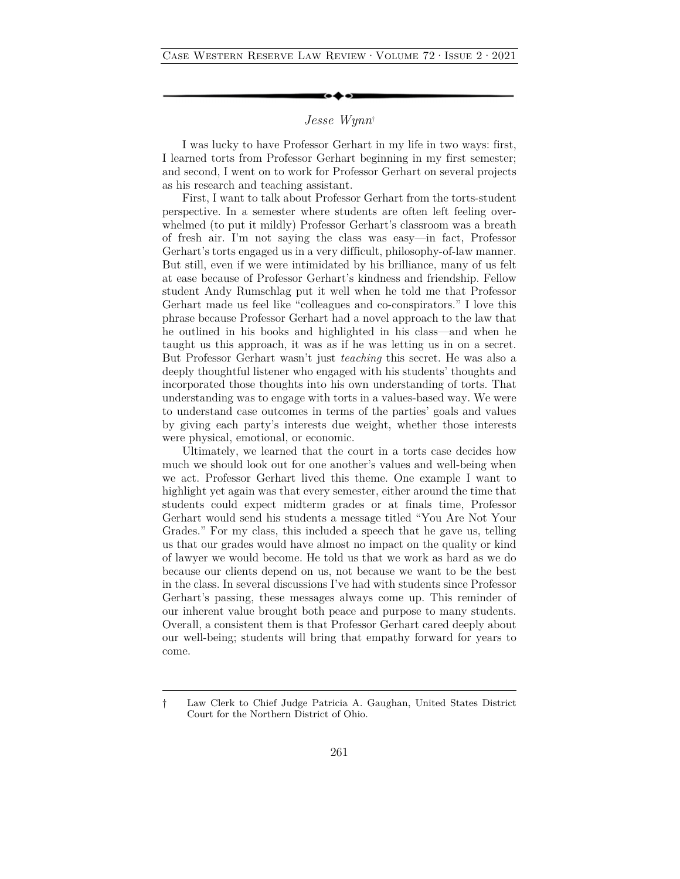## *Jesse Wynn*†

I was lucky to have Professor Gerhart in my life in two ways: first, I learned torts from Professor Gerhart beginning in my first semester; and second, I went on to work for Professor Gerhart on several projects as his research and teaching assistant.

First, I want to talk about Professor Gerhart from the torts-student perspective. In a semester where students are often left feeling overwhelmed (to put it mildly) Professor Gerhart's classroom was a breath of fresh air. I'm not saying the class was easy—in fact, Professor Gerhart's torts engaged us in a very difficult, philosophy-of-law manner. But still, even if we were intimidated by his brilliance, many of us felt at ease because of Professor Gerhart's kindness and friendship. Fellow student Andy Rumschlag put it well when he told me that Professor Gerhart made us feel like "colleagues and co-conspirators." I love this phrase because Professor Gerhart had a novel approach to the law that he outlined in his books and highlighted in his class—and when he taught us this approach, it was as if he was letting us in on a secret. But Professor Gerhart wasn't just *teaching* this secret. He was also a deeply thoughtful listener who engaged with his students' thoughts and incorporated those thoughts into his own understanding of torts. That understanding was to engage with torts in a values-based way. We were to understand case outcomes in terms of the parties' goals and values by giving each party's interests due weight, whether those interests were physical, emotional, or economic.

Ultimately, we learned that the court in a torts case decides how much we should look out for one another's values and well-being when we act. Professor Gerhart lived this theme. One example I want to highlight yet again was that every semester, either around the time that students could expect midterm grades or at finals time, Professor Gerhart would send his students a message titled "You Are Not Your Grades." For my class, this included a speech that he gave us, telling us that our grades would have almost no impact on the quality or kind of lawyer we would become. He told us that we work as hard as we do because our clients depend on us, not because we want to be the best in the class. In several discussions I've had with students since Professor Gerhart's passing, these messages always come up. This reminder of our inherent value brought both peace and purpose to many students. Overall, a consistent them is that Professor Gerhart cared deeply about our well-being; students will bring that empathy forward for years to come.

<sup>†</sup> Law Clerk to Chief Judge Patricia A. Gaughan, United States District Court for the Northern District of Ohio.